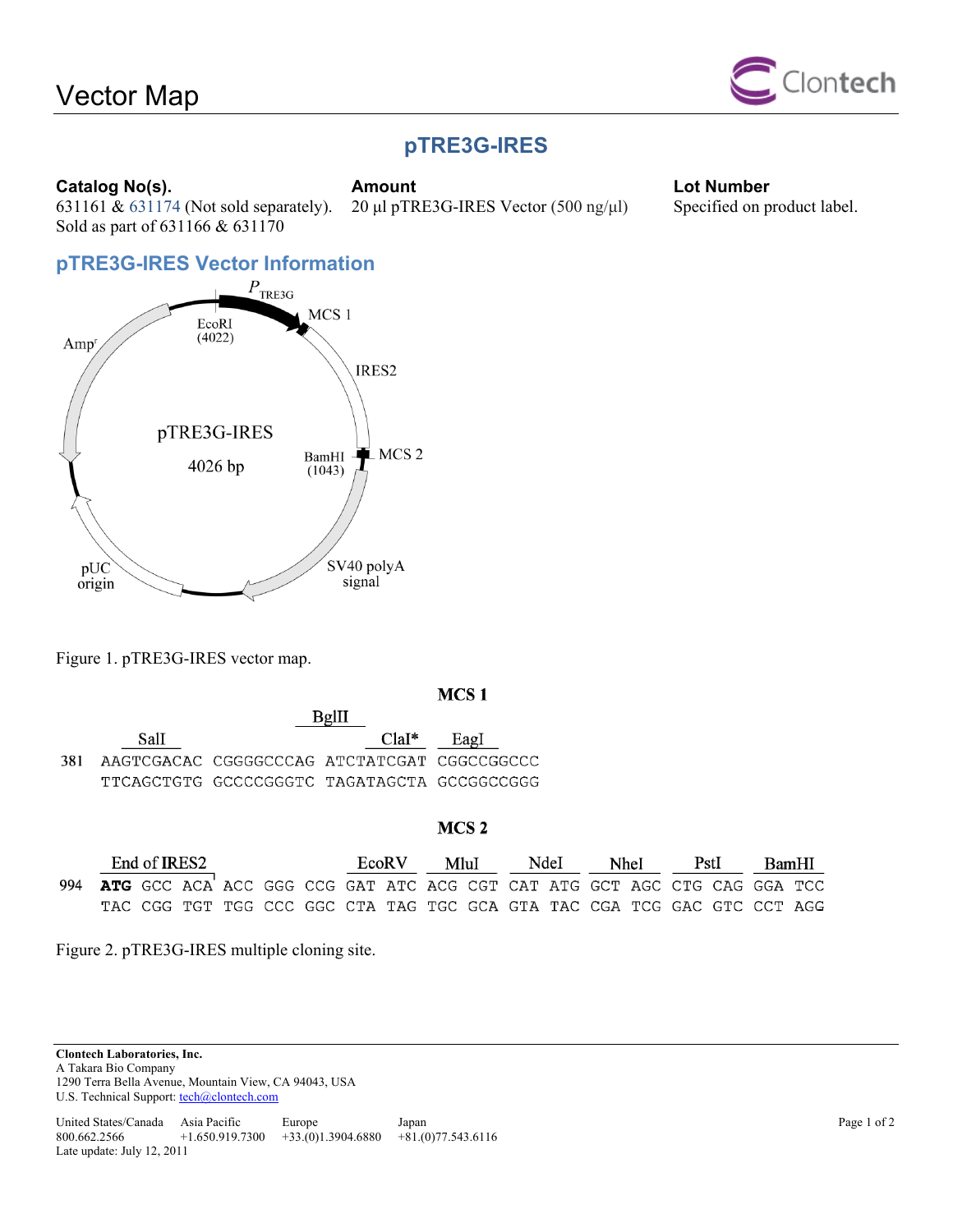

# **pTRE3G-IRES**

20 μl pTRE3G-IRES Vector (500 ng/μl) Specified on product label.

**Catalog No(s). Catalog No(s). Amount Lot Number Lot Number** 631161 & 631174 (Not sold separately). Sold as part of 631166 & 631170



Figure 1. pTRE3G-IRES vector map.

### MCS<sub>1</sub>

|       |                                             |                                             | DEIII |      |
|-------|---------------------------------------------|---------------------------------------------|-------|------|
|       | Sall                                        |                                             | ClaI* | Eagl |
| -381- | AAGTCGACAC CGGGGCCCAG ATCTATCGAT CGGCCGGCCC |                                             |       |      |
|       |                                             | TTCAGCTGTG GCCCCGGGTC TAGATAGCTA GCCGGCCGGG |       |      |

 $D<sub>0</sub>$ III

### MCS<sub>2</sub>

| End of IRES2                                                                |  |  |  | EcoR V |  | MluI |  | NdeI |  | <b>Nhel</b> |  | - PstI - |  | BamHI |                                                                         |  |
|-----------------------------------------------------------------------------|--|--|--|--------|--|------|--|------|--|-------------|--|----------|--|-------|-------------------------------------------------------------------------|--|
| 994 ATG GCC ACA ACC GGG CCG GAT ATC ACG CGT CAT ATG GCT AGC CTG CAG GGA TCC |  |  |  |        |  |      |  |      |  |             |  |          |  |       |                                                                         |  |
|                                                                             |  |  |  |        |  |      |  |      |  |             |  |          |  |       | TAC CGG TGT TGG CCC GGC CTA TAG TGC GCA GTA TAC CGA TCG GAC GTC CCT AGG |  |

Figure 2. pTRE3G-IRES multiple cloning site.

**Clontech Laboratories, Inc.**  A Takara Bio Company 1290 Terra Bella Avenue, Mountain View, CA 94043, USA U.S. Technical Support: tech@clontech.com